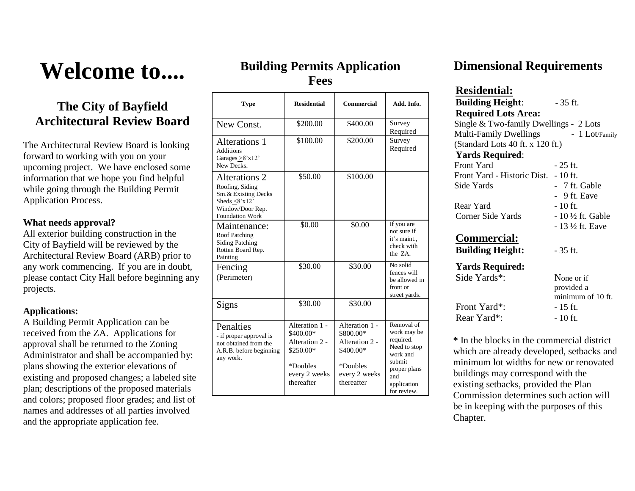# **Welcome to....**

### **The City of Bayfield Architectural Review Board**

The Architectural Review Board is looking forward to working with you on your upcoming project. We have enclosed some information that we hope you find helpful while going through the Building Permit Application Process.

#### **What needs approval?**

All exterior building construction in the City of Bayfield will be reviewed by the Architectural Review Board (ARB) prior to any work commencing. If you are in doubt, please contact City Hall before beginning any projects.

#### **Applications:**

A Building Permit Application can be received from the ZA. Applications for approval shall be returned to the Zoning Administrator and shall be accompanied by: plans showing the exterior elevations of existing and proposed changes; a labeled site plan; descriptions of the proposed materials and colors; proposed floor grades; and list of names and addresses of all parties involved and the appropriate application fee.

### **Building Permits Application Fees**

| <b>Type</b>                                                                                                                      | <b>Residential</b>                                                                                    | <b>Commercial</b>                                                                                     | Add. Info.                                                                                                                        |
|----------------------------------------------------------------------------------------------------------------------------------|-------------------------------------------------------------------------------------------------------|-------------------------------------------------------------------------------------------------------|-----------------------------------------------------------------------------------------------------------------------------------|
| New Const.                                                                                                                       | \$200.00                                                                                              | \$400.00                                                                                              | Survey<br>Required                                                                                                                |
| Alterations 1<br><b>Additions</b><br>Garages $>8$ 'x12'<br>New Decks.                                                            | \$100.00                                                                                              | \$200.00                                                                                              | Survey<br>Required                                                                                                                |
| Alterations 2<br>Roofing, Siding<br>Sm.& Existing Decks<br>Sheds $\langle 8'x12' \rangle$<br>Window/Door Rep.<br>Foundation Work | \$50.00                                                                                               | \$100.00                                                                                              |                                                                                                                                   |
| Maintenance:<br>Roof Patching<br><b>Siding Patching</b><br>Rotten Board Rep.<br>Painting                                         | \$0.00                                                                                                | \$0.00                                                                                                | If you are<br>not sure if<br>it's maint<br>check with<br>the ZA.                                                                  |
| Fencing<br>(Perimeter)                                                                                                           | \$30.00                                                                                               | \$30.00                                                                                               | No solid<br>fences will<br>be allowed in<br>front or<br>street yards.                                                             |
| Signs                                                                                                                            | \$30.00                                                                                               | \$30.00                                                                                               |                                                                                                                                   |
| Penalties<br>- if proper approval is<br>not obtained from the<br>A.R.B. before beginning<br>any work.                            | Alteration 1 -<br>\$400.00*<br>Alteration 2 -<br>\$250.00*<br>*Doubles<br>every 2 weeks<br>thereafter | Alteration 1 -<br>\$800.00*<br>Alteration 2 -<br>\$400.00*<br>*Doubles<br>every 2 weeks<br>thereafter | Removal of<br>work may be<br>required.<br>Need to stop<br>work and<br>submit<br>proper plans<br>and<br>application<br>for review. |

#### **Dimensional Requirements**

### **Residential:**

| <b>Building Height:</b>                | - 35 ft.                   |
|----------------------------------------|----------------------------|
| <b>Required Lots Area:</b>             |                            |
| Single & Two-family Dwellings - 2 Lots |                            |
| <b>Multi-Family Dwellings</b>          | - 1 Lot/Family             |
| (Standard Lots 40 ft. x 120 ft.)       |                            |
| <b>Yards Required:</b>                 |                            |
| Front Yard                             | $-25$ ft.                  |
| Front Yard - Historic Dist             | $-10$ ft.                  |
| Side Yards                             | - 7 ft. Gable              |
|                                        | - 9 ft. Eave               |
| Rear Yard                              | - 10 ft.                   |
| Corner Side Yards                      | $-10\frac{1}{2}$ ft. Gable |
|                                        | - 13 ½ ft. Eave            |
| <b>Commercial:</b>                     |                            |
| <b>Building Height:</b>                | $-35$ ft.                  |
| <b>Yards Required:</b>                 |                            |
| Side Yards*:                           | None or if                 |
|                                        | provided a                 |
|                                        | minimum of 10 ft.          |
| Front Yard*:                           | - 15 ft.                   |
| Rear Yard*:                            | $-10$ ft.                  |
|                                        |                            |
|                                        |                            |

**\*** In the blocks in the commercial district which are already developed, setbacks and minimum lot widths for new or renovated buildings may correspond with the existing setbacks, provided the Plan Commission determines such action will be in keeping with the purposes of this Chapter.